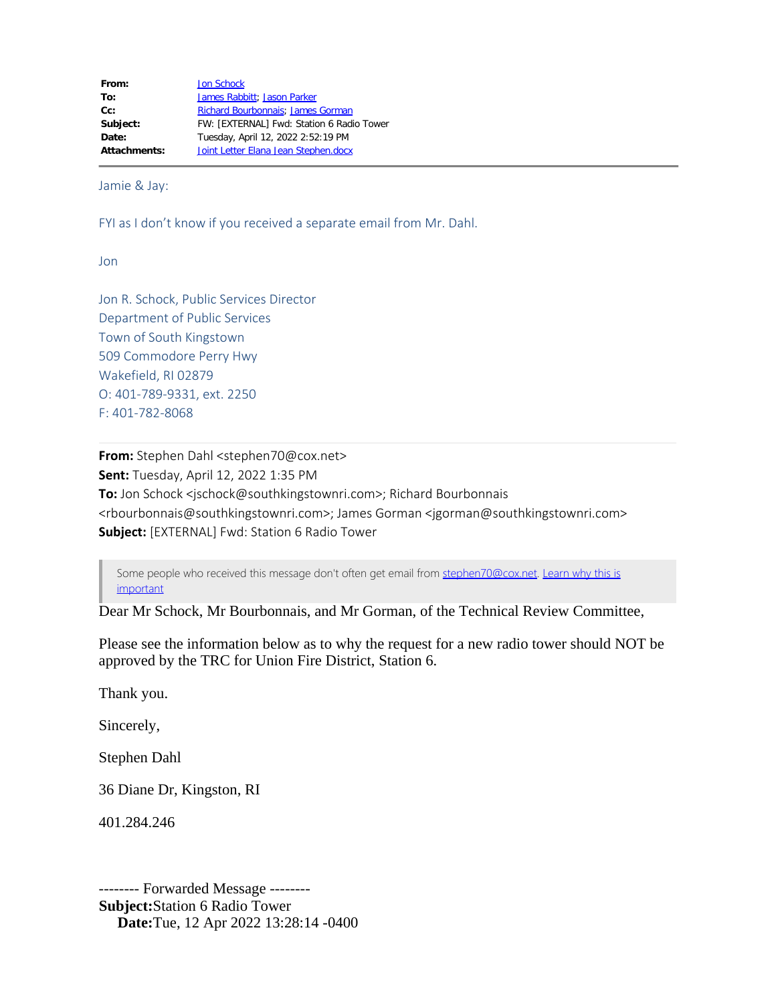From: **[Jon Schock](mailto:jschock@southkingstownri.com) To:** [James Rabbitt;](mailto:jrabbitt@southkingstownri.com) [Jason Parker](mailto:jparker@southkingstownri.com) Cc: [Richard Bourbonnais](mailto:rbourbonnais@southkingstownri.com); [James Gorman](mailto:jgorman@southkingstownri.com) **Subject:** FW: [EXTERNAL] Fwd: Station 6 Radio Tower **Date:** Tuesday, April 12, 2022 2:52:19 PM **Attachments:** Joint Letter Elana Jean Stephen.docx

Jamie & Jay:

FYI as I don't know if you received a separate email from Mr. Dahl.

Jon

Jon R. Schock, Public Services Director Department of Public Services Town of South Kingstown 509 Commodore Perry Hwy Wakefield, RI 02879 O: 401-789-9331, ext. 2250 F: 401-782-8068

**From:** Stephen Dahl <stephen70@cox.net> **Sent:** Tuesday, April 12, 2022 1:35 PM **To:** Jon Schock <jschock@southkingstownri.com>; Richard Bourbonnais <rbourbonnais@southkingstownri.com>; James Gorman <jgorman@southkingstownri.com> **Subject:** [EXTERNAL] Fwd: Station 6 Radio Tower

Some people who received this message don't often get email from [stephen70@cox.net.](mailto:stephen70@cox.net) [Learn why this is](http://aka.ms/LearnAboutSenderIdentification) [important](http://aka.ms/LearnAboutSenderIdentification)

Dear Mr Schock, Mr Bourbonnais, and Mr Gorman, of the Technical Review Committee,

Please see the information below as to why the request for a new radio tower should NOT be approved by the TRC for Union Fire District, Station 6.

Thank you.

Sincerely,

Stephen Dahl

36 Diane Dr, Kingston, RI

401.284.246

-------- Forwarded Message -------- **Subject:**Station 6 Radio Tower **Date:**Tue, 12 Apr 2022 13:28:14 -0400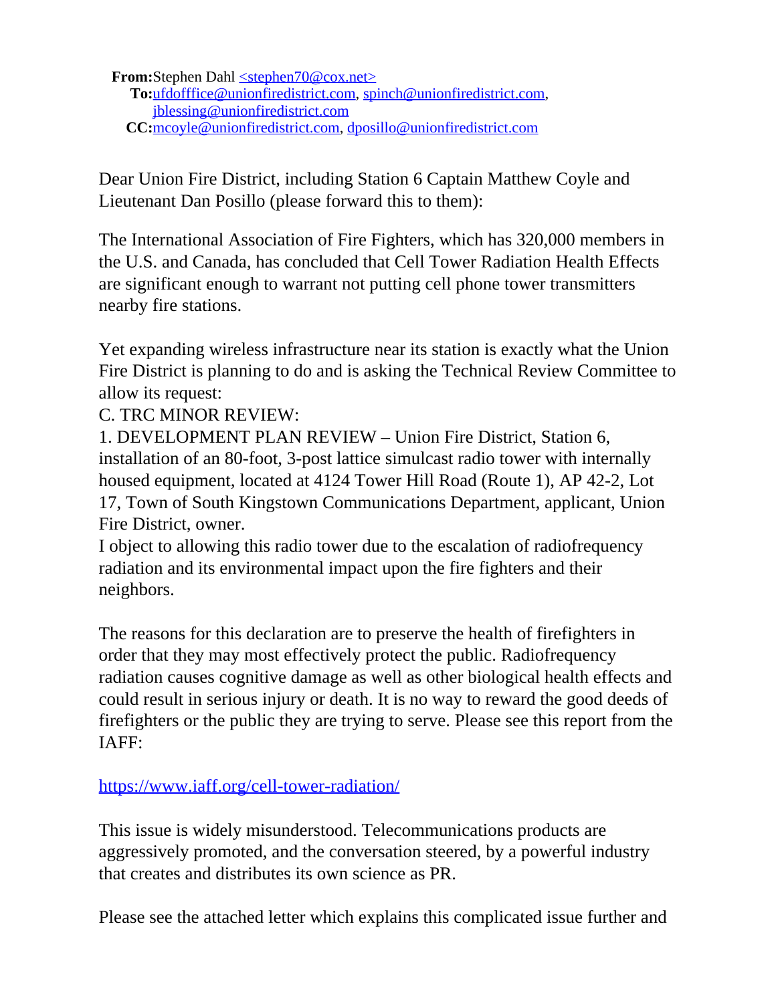**From:**Stephen Dahl [<stephen70@cox.net>](mailto:stephen70@cox.net) **To:**[ufdofffice@unionfiredistrict.com,](mailto:ufdofffice@unionfiredistrict.com) [spinch@unionfiredistrict.com](mailto:spinch@unionfiredistrict.com), [jblessing@unionfiredistrict.com](mailto:jblessing@unionfiredistrict.com) **CC:**[mcoyle@unionfiredistrict.com](mailto:mcoyle@unionfiredistrict.com), [dposillo@unionfiredistrict.com](mailto:dposillo@unionfiredistrict.com)

Dear Union Fire District, including Station 6 Captain Matthew Coyle and Lieutenant Dan Posillo (please forward this to them):

The International Association of Fire Fighters, which has 320,000 members in the U.S. and Canada, has concluded that Cell Tower Radiation Health Effects are significant enough to warrant not putting cell phone tower transmitters nearby fire stations.

Yet expanding wireless infrastructure near its station is exactly what the Union Fire District is planning to do and is asking the Technical Review Committee to allow its request:

C. TRC MINOR REVIEW:

1. DEVELOPMENT PLAN REVIEW – Union Fire District, Station 6, installation of an 80-foot, 3-post lattice simulcast radio tower with internally housed equipment, located at 4124 Tower Hill Road (Route 1), AP 42-2, Lot 17, Town of South Kingstown Communications Department, applicant, Union Fire District, owner.

I object to allowing this radio tower due to the escalation of radiofrequency radiation and its environmental impact upon the fire fighters and their neighbors.

The reasons for this declaration are to preserve the health of firefighters in order that they may most effectively protect the public. Radiofrequency radiation causes cognitive damage as well as other biological health effects and could result in serious injury or death. It is no way to reward the good deeds of firefighters or the public they are trying to serve. Please see this report from the IAFF:

<https://www.iaff.org/cell-tower-radiation/>

This issue is widely misunderstood. Telecommunications products are aggressively promoted, and the conversation steered, by a powerful industry that creates and distributes its own science as PR.

Please see the attached letter which explains this complicated issue further and